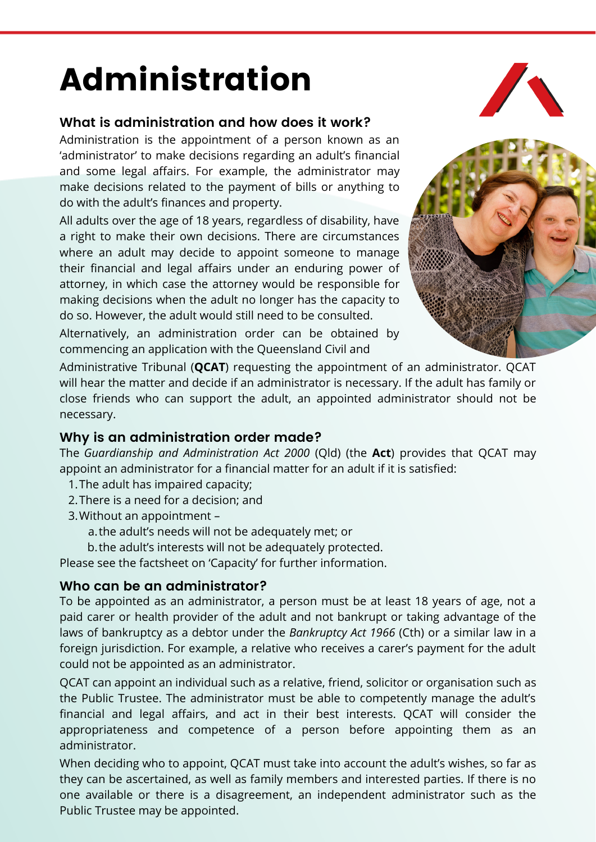# Administration

## **What is administration and how does it work?**

Administration is the appointment of a person known as an 'administrator' to make decisions regarding an adult's financial and some legal affairs. For example, the administrator may make decisions related to the payment of bills or anything to do with the adult's finances and property.

All adults over the age of 18 years, regardless of disability, have a right to make their own decisions. There are circumstances where an adult may decide to appoint someone to manage their financial and legal affairs under an enduring power of attorney, in which case the attorney would be responsible for making decisions when the adult no longer has the capacity to do so. However, the adult would still need to be consulted.

Alternatively, an administration order can be obtained by commencing an application with the Queensland Civil and



Administrative Tribunal (**QCAT**) requesting the appointment of an administrator. QCAT will hear the matter and decide if an administrator is necessary. If the adult has family or close friends who can support the adult, an appointed administrator should not be necessary.

#### **Why is an administration order made?**

The *Guardianship and Administration Act 2000* (Qld) (the **Act**) provides that QCAT may appoint an administrator for a financial matter for an adult if it is satisfied:

- 1. The adult has impaired capacity;
- 2. There is a need for a decision; and
- Without an appointment 3.
	- a.the adult's needs will not be adequately met; or
	- b. the adult's interests will not be adequately protected.

Please see the factsheet on 'Capacity' for further information.

## **Who can be an administrator?**

To be appointed as an administrator, a person must be at least 18 years of age, not a paid carer or health provider of the adult and not bankrupt or taking advantage of the laws of bankruptcy as a debtor under the *Bankruptcy Act 1966* (Cth) or a similar law in a foreign jurisdiction. For example, a relative who receives a carer's payment for the adult could not be appointed as an administrator.

QCAT can appoint an individual such as a relative, friend, solicitor or organisation such as the Public Trustee. The administrator must be able to competently manage the adult's financial and legal affairs, and act in their best interests. QCAT will consider the appropriateness and competence of a person before appointing them as an administrator.

When deciding who to appoint, QCAT must take into account the adult's wishes, so far as they can be ascertained, as well as family members and interested parties. If there is no one available or there is a disagreement, an independent administrator such as the Public Trustee may be appointed.